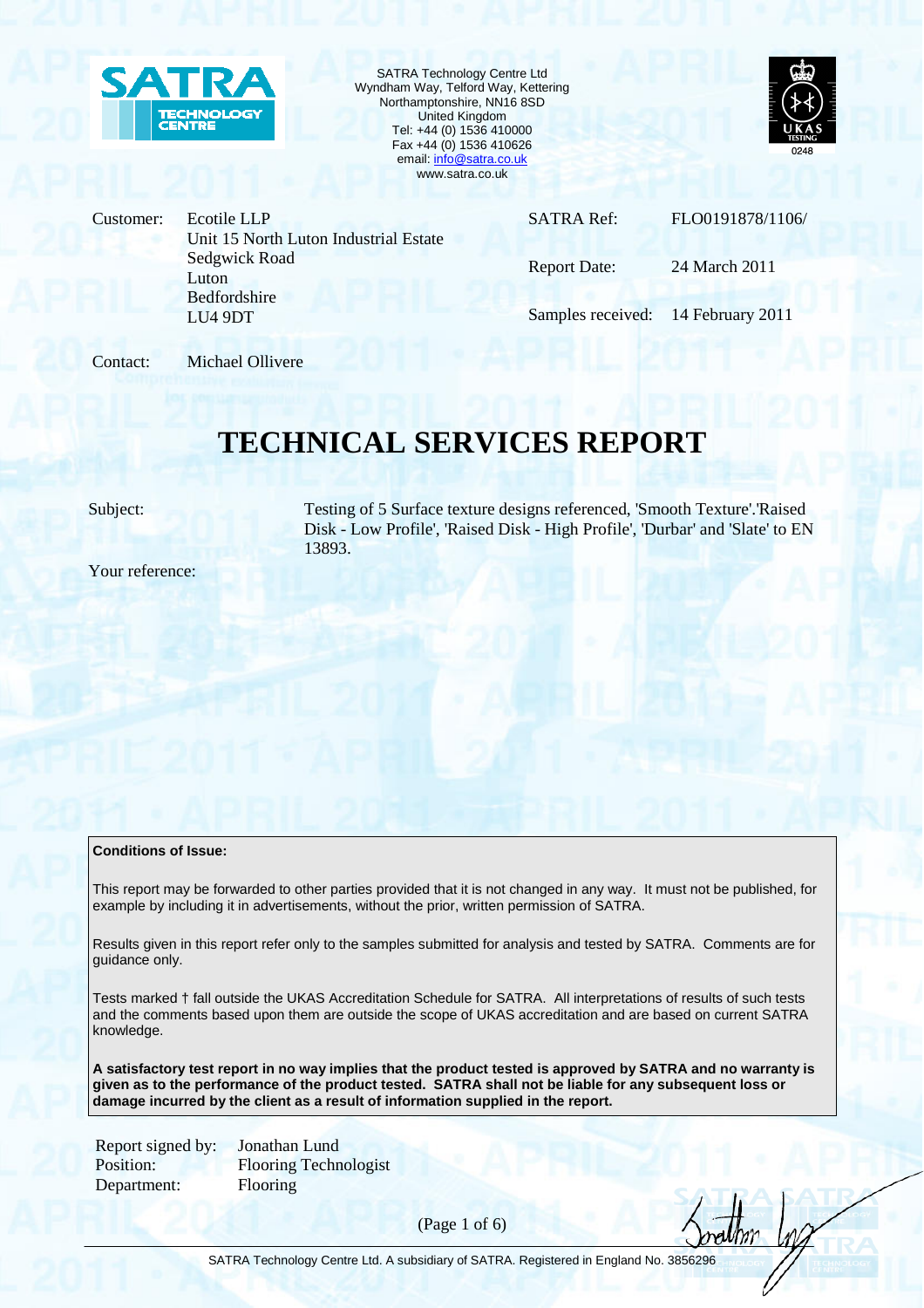

SATRA Technology Centre Ltd Wyndham Way, Telford Way, Kettering Northamptonshire, NN16 8SD United Kingdom Tel: +44 (0) 1536 410000 Fax +44 (0) 1536 410626 email: info@satra.co.uk www.satra.co.uk



Customer: Ecotile LLP Unit 15 North Luton Industrial Estate Sedgwick Road Luton Bedfordshire LU4 9DT

SATRA Ref: FLO0191878/1106/

Report Date: 24 March 2011

Samples received: 14 February 2011

Contact: Michael Ollivere

# **TECHNICAL SERVICES REPORT**

Subject: Testing of 5 Surface texture designs referenced, 'Smooth Texture'.'Raised Disk - Low Profile', 'Raised Disk - High Profile', 'Durbar' and 'Slate' to EN 13893.

Your reference:

### **Conditions of Issue:**

This report may be forwarded to other parties provided that it is not changed in any way. It must not be published, for example by including it in advertisements, without the prior, written permission of SATRA.

Results given in this report refer only to the samples submitted for analysis and tested by SATRA. Comments are for guidance only.

Tests marked † fall outside the UKAS Accreditation Schedule for SATRA. All interpretations of results of such tests and the comments based upon them are outside the scope of UKAS accreditation and are based on current SATRA knowledge.

**A satisfactory test report in no way implies that the product tested is approved by SATRA and no warranty is given as to the performance of the product tested. SATRA shall not be liable for any subsequent loss or damage incurred by the client as a result of information supplied in the report.** 

Report signed by: Jonathan Lund Department: Flooring

Position: Flooring Technologist

(Page 1 of 6)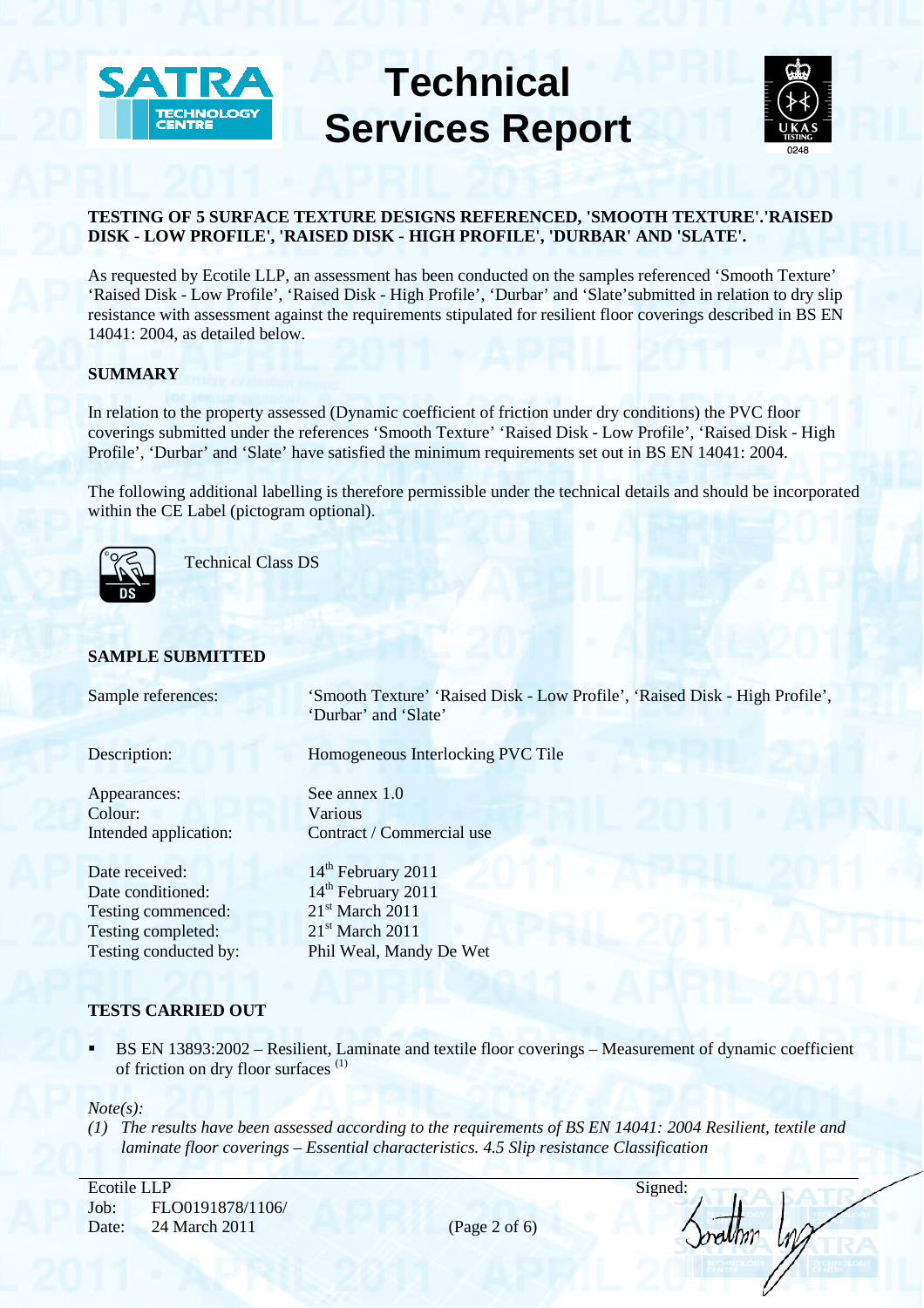



# **TESTING OF 5 SURFACE TEXTURE DESIGNS REFERENCED, 'SMOOTH TEXTURE'.'RAISED DISK - LOW PROFILE', 'RAISED DISK - HIGH PROFILE', 'DURBAR' AND 'SLATE'.**

As requested by Ecotile LLP, an assessment has been conducted on the samples referenced 'Smooth Texture' 'Raised Disk - Low Profile', 'Raised Disk - High Profile', 'Durbar' and 'Slate'submitted in relation to dry slip resistance with assessment against the requirements stipulated for resilient floor coverings described in BS EN 14041: 2004, as detailed below.

# **SUMMARY**

In relation to the property assessed (Dynamic coefficient of friction under dry conditions) the PVC floor coverings submitted under the references 'Smooth Texture' 'Raised Disk - Low Profile', 'Raised Disk - High Profile', 'Durbar' and 'Slate' have satisfied the minimum requirements set out in BS EN 14041: 2004.

The following additional labelling is therefore permissible under the technical details and should be incorporated The following additional fabeling is therewithin the CE Label (pictogram optional).<br>
Technical Class DS<br>
Technical Class DS



Technical Class DS

# **SAMPLE SUBMITTED**

| Sample references:    | 'Smooth Texture' 'Raised Disk - Low Profile', 'Raised Disk - High Profile',<br>'Durbar' and 'Slate' |
|-----------------------|-----------------------------------------------------------------------------------------------------|
| Description:          | Homogeneous Interlocking PVC Tile                                                                   |
| Appearances:          | See annex 1.0                                                                                       |
| Colour:               | <b>Various</b>                                                                                      |
| Intended application: | Contract / Commercial use                                                                           |
| Date received:        | 14 <sup>th</sup> February 2011                                                                      |
| Date conditioned:     | 14 <sup>th</sup> February 2011                                                                      |
| Testing commenced:    | $21st$ March 2011                                                                                   |
| Testing completed:    | $21st$ March 2011                                                                                   |
| Testing conducted by: | Phil Weal, Mandy De Wet                                                                             |
|                       |                                                                                                     |

## **TESTS CARRIED OUT**

 BS EN 13893:2002 – Resilient, Laminate and textile floor coverings – Measurement of dynamic coefficient of friction on dry floor surfaces (1)

## *Note(s):*

*(1) The results have been assessed according to the requirements of BS EN 14041: 2004 Resilient, textile and laminate floor coverings – Essential characteristics. 4.5 Slip resistance Classification* 

Ecotile LLP Signed: Job: FLO0191878/1106/ Date: 24 March 2011 (Page 2 of 6)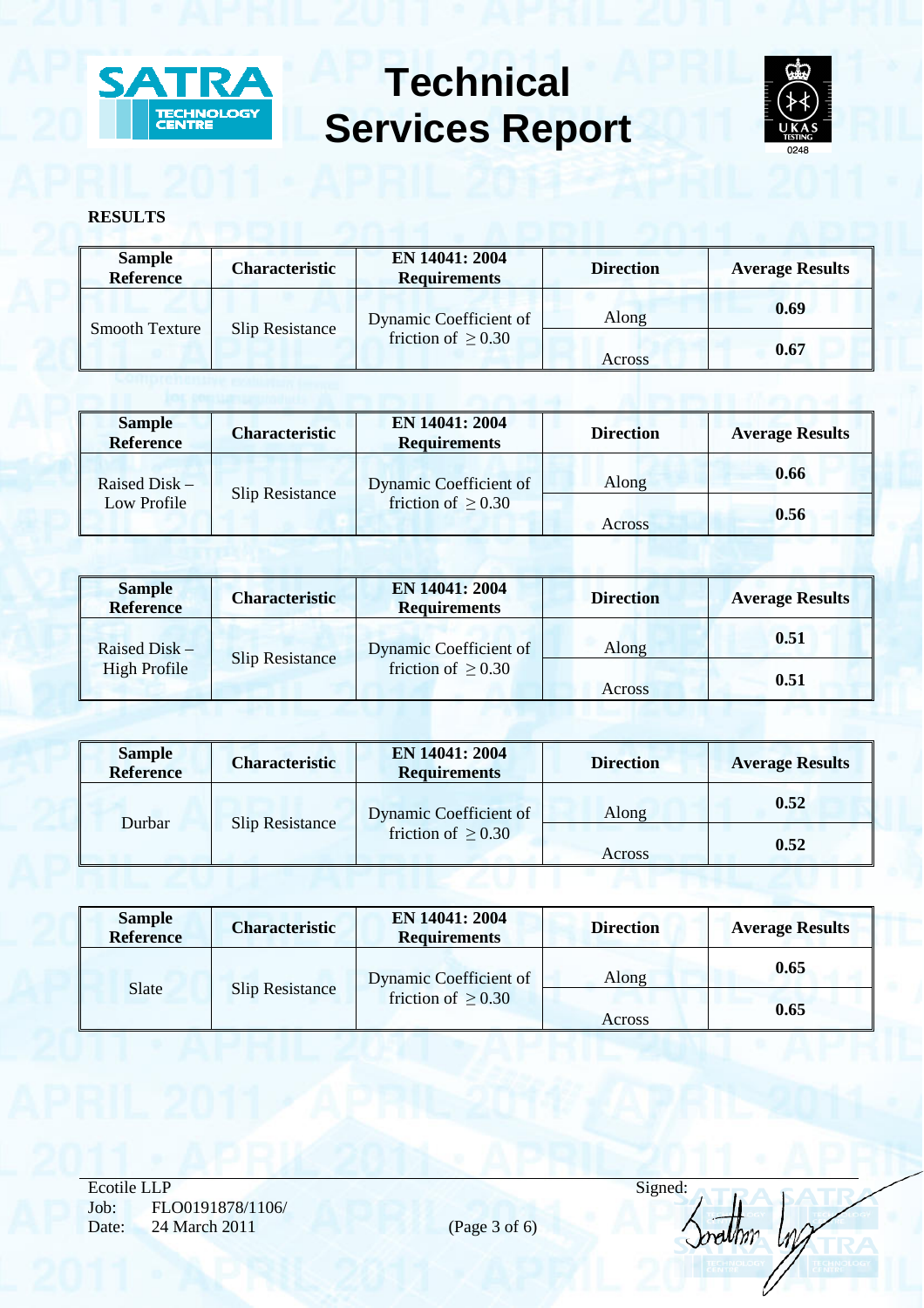



# **RESULTS**

| <b>Sample</b><br>Reference | <b>Characteristic</b> | EN 14041: 2004<br><b>Requirements</b>             | <b>Direction</b> | <b>Average Results</b> |
|----------------------------|-----------------------|---------------------------------------------------|------------------|------------------------|
| <b>Smooth Texture</b>      | Slip Resistance       | Dynamic Coefficient of<br>friction of $\geq$ 0.30 | Along            | 0.69                   |
|                            |                       |                                                   | Across           | 0.67                   |

| <b>Sample</b><br><b>Reference</b>                        | <b>Characteristic</b>   | EN 14041: 2004<br><b>Requirements</b> | <b>Direction</b> | <b>Average Results</b> |
|----------------------------------------------------------|-------------------------|---------------------------------------|------------------|------------------------|
| Raised Disk $-$<br><b>Slip Resistance</b><br>Low Profile |                         | Dynamic Coefficient of                | Along            | 0.66                   |
|                                                          | friction of $\geq 0.30$ | Across                                | 0.56             |                        |

| <b>Sample</b><br><b>Reference</b> | <b>Characteristic</b>  | EN 14041: 2004<br><b>Requirements</b>             | <b>Direction</b> | <b>Average Results</b> |
|-----------------------------------|------------------------|---------------------------------------------------|------------------|------------------------|
| Raised Disk -                     | <b>Slip Resistance</b> | Dynamic Coefficient of<br>friction of $\geq$ 0.30 | Along            | 0.51                   |
| <b>High Profile</b>               |                        |                                                   | Across           | 0.51                   |

| <b>Sample</b><br><b>Reference</b> | <b>Characteristic</b>  | EN 14041: 2004<br><b>Requirements</b>             | <b>Direction</b> | <b>Average Results</b> |
|-----------------------------------|------------------------|---------------------------------------------------|------------------|------------------------|
| Durbar                            | <b>Slip Resistance</b> | Dynamic Coefficient of<br>friction of $\geq$ 0.30 | Along            | 0.52                   |
|                                   |                        |                                                   | Across           | 0.52                   |

| <b>Sample</b><br><b>Reference</b> | <b>Characteristic</b>  | EN 14041: 2004<br><b>Requirements</b>             | <b>Direction</b> | <b>Average Results</b> |
|-----------------------------------|------------------------|---------------------------------------------------|------------------|------------------------|
| Slate                             | <b>Slip Resistance</b> | Dynamic Coefficient of<br>friction of $\geq$ 0.30 | Along            | 0.65                   |
|                                   |                        |                                                   | Across           | 0.65                   |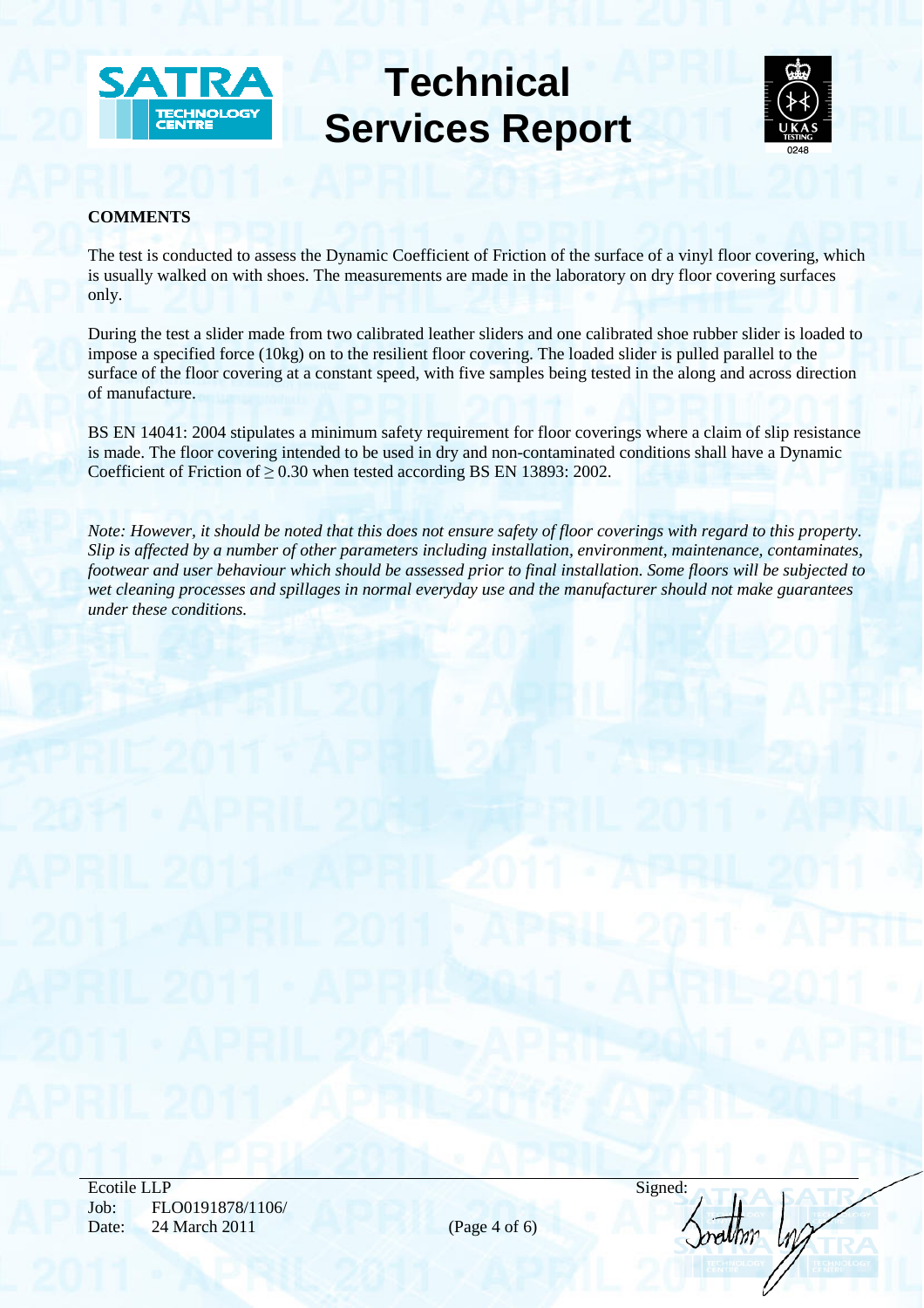



# **COMMENTS**

The test is conducted to assess the Dynamic Coefficient of Friction of the surface of a vinyl floor covering, which is usually walked on with shoes. The measurements are made in the laboratory on dry floor covering surfaces only.

During the test a slider made from two calibrated leather sliders and one calibrated shoe rubber slider is loaded to impose a specified force (10kg) on to the resilient floor covering. The loaded slider is pulled parallel to the surface of the floor covering at a constant speed, with five samples being tested in the along and across direction of manufacture.

BS EN 14041: 2004 stipulates a minimum safety requirement for floor coverings where a claim of slip resistance is made. The floor covering intended to be used in dry and non-contaminated conditions shall have a Dynamic Coefficient of Friction of  $\geq$  0.30 when tested according BS EN 13893: 2002.

*Note: However, it should be noted that this does not ensure safety of floor coverings with regard to this property. Slip is affected by a number of other parameters including installation, environment, maintenance, contaminates, footwear and user behaviour which should be assessed prior to final installation. Some floors will be subjected to wet cleaning processes and spillages in normal everyday use and the manufacturer should not make guarantees under these conditions.* 

| Signed: |  |
|---------|--|
|         |  |
|         |  |
|         |  |
|         |  |
| maunn   |  |
|         |  |
|         |  |
|         |  |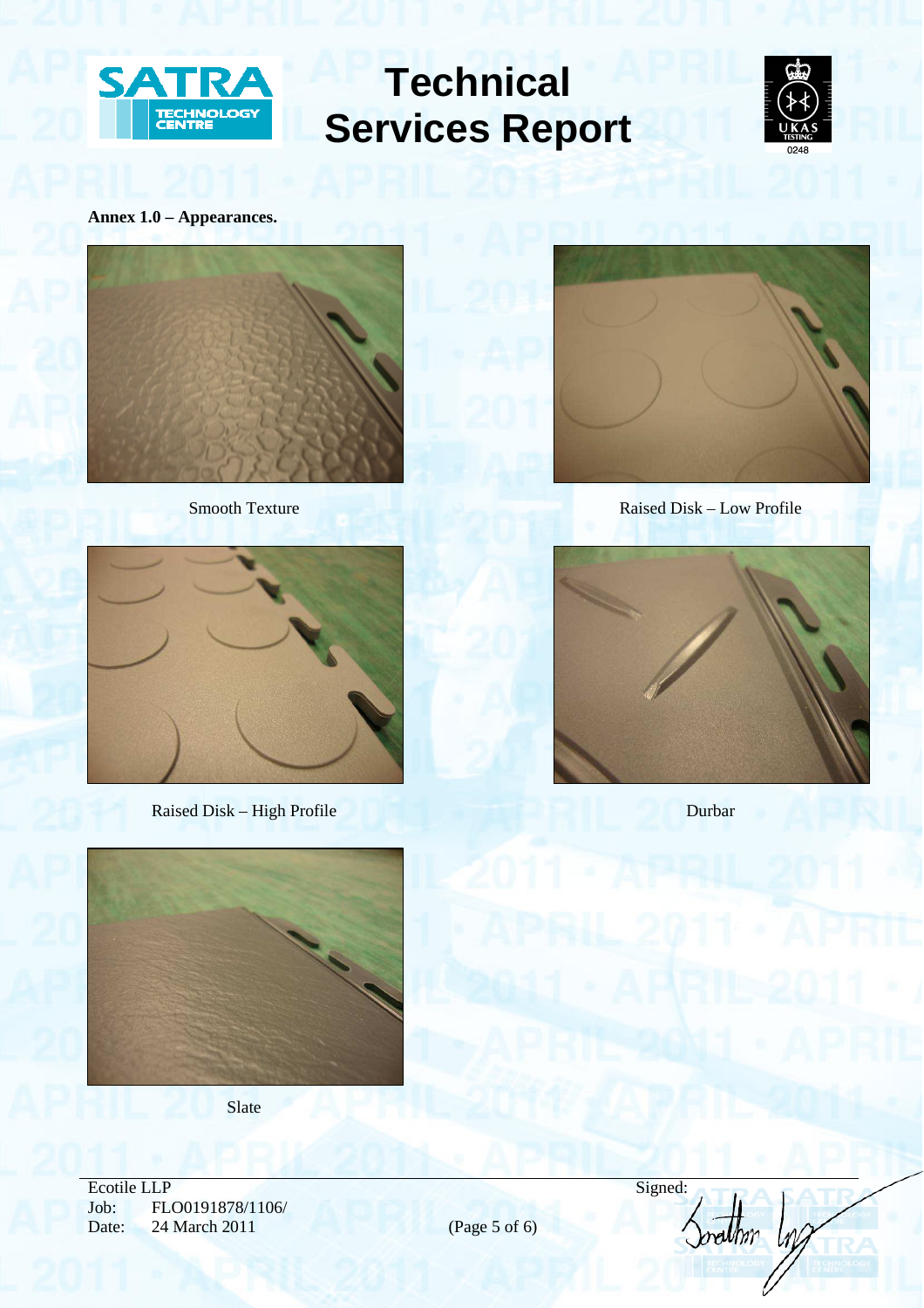



# **Annex 1.0 – Appearances.**





Raised Disk – High Profile Durbar



Smooth Texture Raised Disk – Low Profile





**Slate** 

Ecotile LLP Signed: Job: FLO0191878/1106/ Date: 24 March 2011 (Page 5 of 6)